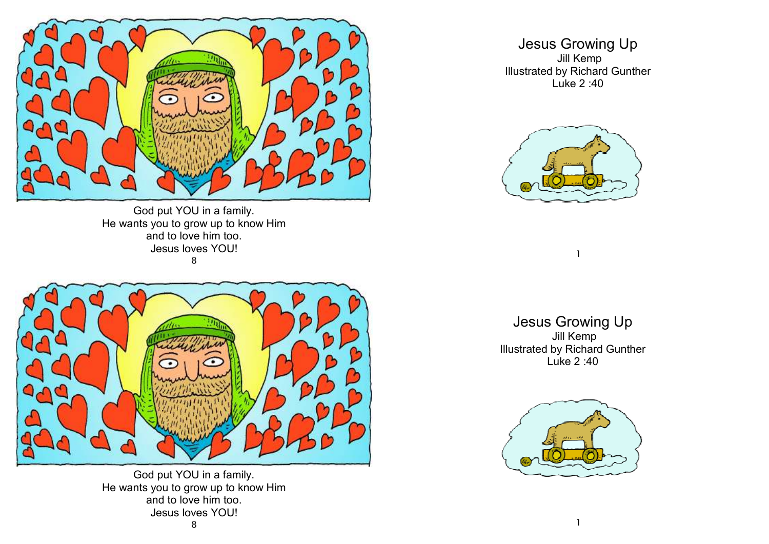

God put YOU in a family. He wants you to grow up to know Him and to love him too. Jesus loves YOU! 8



God put YOU in a family. He wants you to grow up to know Him and to love him too. Jesus loves YOU!

Jesus Growing Up Jill Kemp Illustrated by Richard Gunther Luke 2 :40



Jesus Growing Up Jill Kemp Illustrated by Richard Gunther Luke 2 :40

1

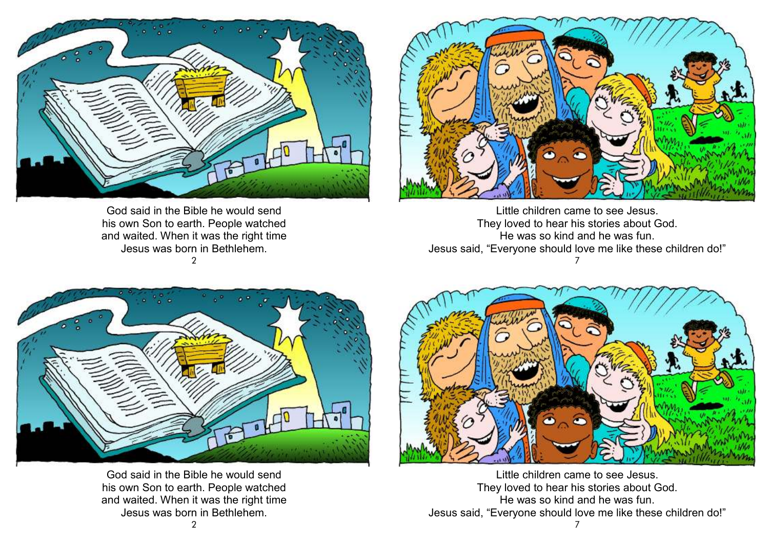

God said in the Bible he would send his own Son to earth. People watched and waited. When it was the right time Jesus was born in Bethlehem.  $\mathcal{P}$ 



Little children came to see Jesus. They loved to hear his stories about God. He was so kind and he was fun. Jesus said, "Everyone should love me like these children do!"7



God said in the Bible he would send his own Son to earth. People watched and waited. When it was the right time Jesus was born in Bethlehem.



Little children came to see Jesus. They loved to hear his stories about God. He was so kind and he was fun. Jesus said, "Everyone should love me like these children do!"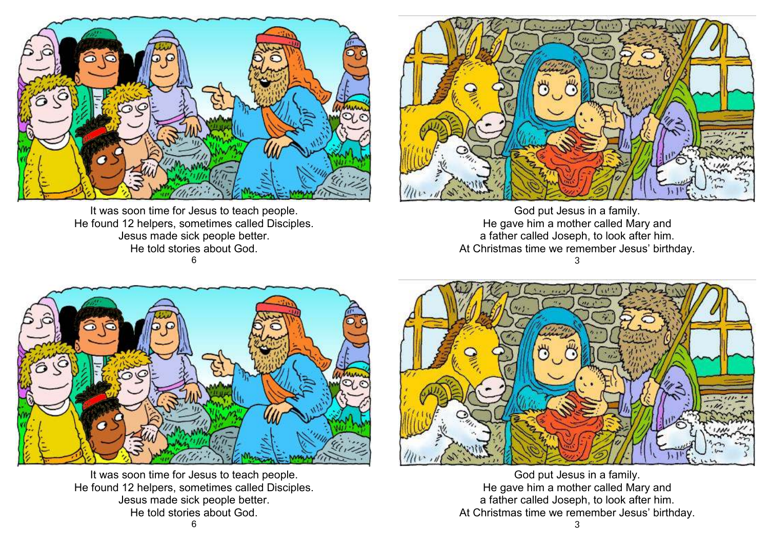

It was soon time for Jesus to teach people. He found 12 helpers, sometimes called Disciples. Jesus made sick people better. He told stories about God. 6



God put Jesus in a family. He gave him a mother called Mary and a father called Joseph, to look after him. At Christmas time we remember Jesus' birthday. 3



It was soon time for Jesus to teach people. He found 12 helpers, sometimes called Disciples. Jesus made sick people better. He told stories about God.



God put Jesus in a family. He gave him a mother called Mary and a father called Joseph, to look after him. At Christmas time we remember Jesus' birthday.